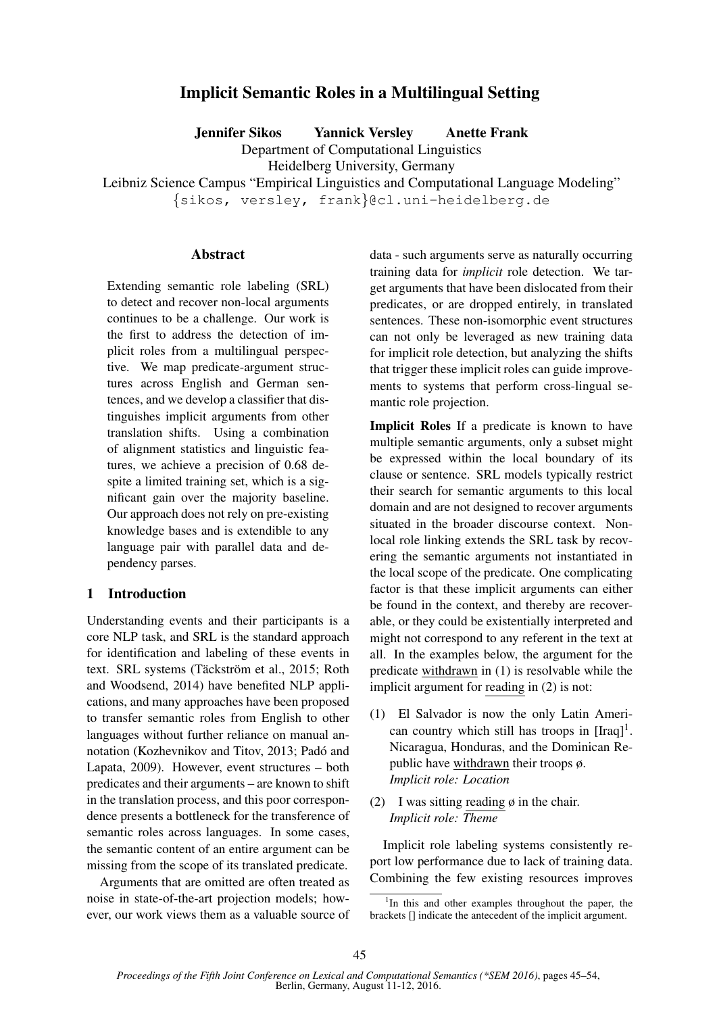# Implicit Semantic Roles in a Multilingual Setting

Jennifer Sikos Yannick Versley Anette Frank

Department of Computational Linguistics

Heidelberg University, Germany

Leibniz Science Campus "Empirical Linguistics and Computational Language Modeling"

{sikos, versley, frank}@cl.uni-heidelberg.de

## **Abstract**

Extending semantic role labeling (SRL) to detect and recover non-local arguments continues to be a challenge. Our work is the first to address the detection of implicit roles from a multilingual perspective. We map predicate-argument structures across English and German sentences, and we develop a classifier that distinguishes implicit arguments from other translation shifts. Using a combination of alignment statistics and linguistic features, we achieve a precision of 0.68 despite a limited training set, which is a significant gain over the majority baseline. Our approach does not rely on pre-existing knowledge bases and is extendible to any language pair with parallel data and dependency parses.

## 1 Introduction

Understanding events and their participants is a core NLP task, and SRL is the standard approach for identification and labeling of these events in text. SRL systems (Täckström et al., 2015; Roth and Woodsend, 2014) have benefited NLP applications, and many approaches have been proposed to transfer semantic roles from English to other languages without further reliance on manual annotation (Kozhevnikov and Titov, 2013; Padó and Lapata, 2009). However, event structures – both predicates and their arguments – are known to shift in the translation process, and this poor correspondence presents a bottleneck for the transference of semantic roles across languages. In some cases, the semantic content of an entire argument can be missing from the scope of its translated predicate.

Arguments that are omitted are often treated as noise in state-of-the-art projection models; however, our work views them as a valuable source of

data - such arguments serve as naturally occurring training data for *implicit* role detection. We target arguments that have been dislocated from their predicates, or are dropped entirely, in translated sentences. These non-isomorphic event structures can not only be leveraged as new training data for implicit role detection, but analyzing the shifts that trigger these implicit roles can guide improvements to systems that perform cross-lingual semantic role projection.

Implicit Roles If a predicate is known to have multiple semantic arguments, only a subset might be expressed within the local boundary of its clause or sentence. SRL models typically restrict their search for semantic arguments to this local domain and are not designed to recover arguments situated in the broader discourse context. Nonlocal role linking extends the SRL task by recovering the semantic arguments not instantiated in the local scope of the predicate. One complicating factor is that these implicit arguments can either be found in the context, and thereby are recoverable, or they could be existentially interpreted and might not correspond to any referent in the text at all. In the examples below, the argument for the predicate withdrawn in (1) is resolvable while the implicit argument for reading in (2) is not:

- (1) El Salvador is now the only Latin American country which still has troops in  $[Iraq]$ <sup>1</sup>. Nicaragua, Honduras, and the Dominican Republic have withdrawn their troops ø. *Implicit role: Location*
- (2) I was sitting reading  $\phi$  in the chair. *Implicit role: Theme*

Implicit role labeling systems consistently report low performance due to lack of training data. Combining the few existing resources improves

<sup>&</sup>lt;sup>1</sup>In this and other examples throughout the paper, the brackets [] indicate the antecedent of the implicit argument.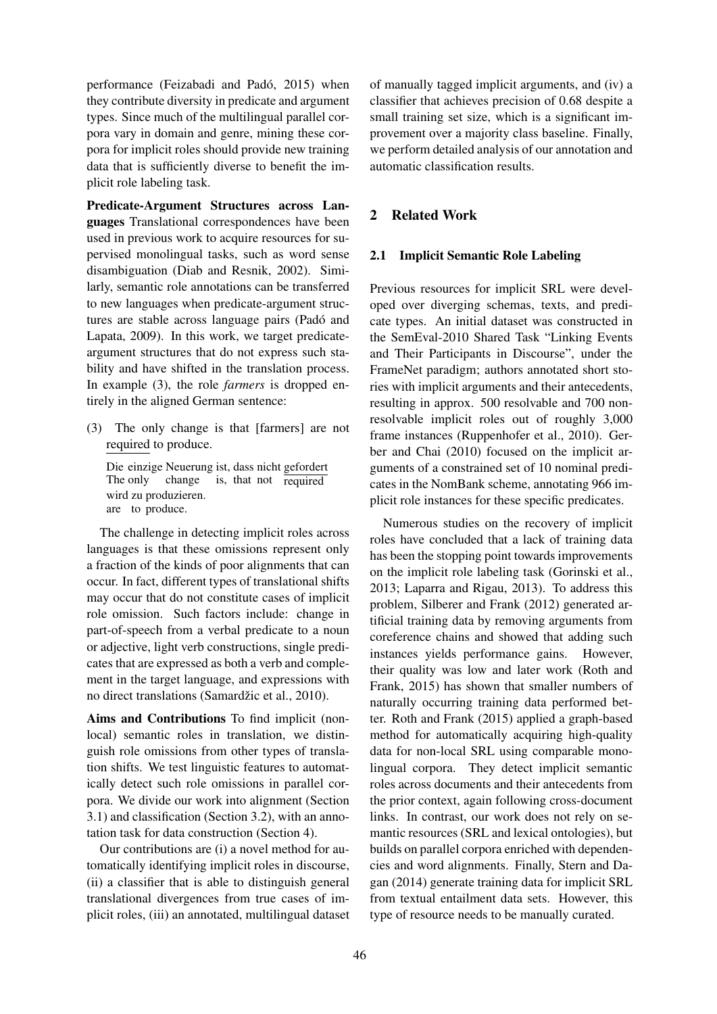performance (Feizabadi and Padó, 2015) when they contribute diversity in predicate and argument types. Since much of the multilingual parallel corpora vary in domain and genre, mining these corpora for implicit roles should provide new training data that is sufficiently diverse to benefit the implicit role labeling task.

Predicate-Argument Structures across Languages Translational correspondences have been used in previous work to acquire resources for supervised monolingual tasks, such as word sense disambiguation (Diab and Resnik, 2002). Similarly, semantic role annotations can be transferred to new languages when predicate-argument structures are stable across language pairs (Padó and Lapata, 2009). In this work, we target predicateargument structures that do not express such stability and have shifted in the translation process. In example (3), the role *farmers* is dropped entirely in the aligned German sentence:

(3) The only change is that [farmers] are not required to produce.

Die einzige Neuerung ist, dass nicht gefordert The only change is, that not required wird zu produzieren. are to produce.

The challenge in detecting implicit roles across languages is that these omissions represent only a fraction of the kinds of poor alignments that can occur. In fact, different types of translational shifts may occur that do not constitute cases of implicit role omission. Such factors include: change in part-of-speech from a verbal predicate to a noun or adjective, light verb constructions, single predicates that are expressed as both a verb and complement in the target language, and expressions with no direct translations (Samardžic et al., 2010).

Aims and Contributions To find implicit (nonlocal) semantic roles in translation, we distinguish role omissions from other types of translation shifts. We test linguistic features to automatically detect such role omissions in parallel corpora. We divide our work into alignment (Section 3.1) and classification (Section 3.2), with an annotation task for data construction (Section 4).

Our contributions are (i) a novel method for automatically identifying implicit roles in discourse, (ii) a classifier that is able to distinguish general translational divergences from true cases of implicit roles, (iii) an annotated, multilingual dataset of manually tagged implicit arguments, and (iv) a classifier that achieves precision of 0.68 despite a small training set size, which is a significant improvement over a majority class baseline. Finally, we perform detailed analysis of our annotation and automatic classification results.

## 2 Related Work

### 2.1 Implicit Semantic Role Labeling

Previous resources for implicit SRL were developed over diverging schemas, texts, and predicate types. An initial dataset was constructed in the SemEval-2010 Shared Task "Linking Events and Their Participants in Discourse", under the FrameNet paradigm; authors annotated short stories with implicit arguments and their antecedents, resulting in approx. 500 resolvable and 700 nonresolvable implicit roles out of roughly 3,000 frame instances (Ruppenhofer et al., 2010). Gerber and Chai (2010) focused on the implicit arguments of a constrained set of 10 nominal predicates in the NomBank scheme, annotating 966 implicit role instances for these specific predicates.

Numerous studies on the recovery of implicit roles have concluded that a lack of training data has been the stopping point towards improvements on the implicit role labeling task (Gorinski et al., 2013; Laparra and Rigau, 2013). To address this problem, Silberer and Frank (2012) generated artificial training data by removing arguments from coreference chains and showed that adding such instances yields performance gains. However, their quality was low and later work (Roth and Frank, 2015) has shown that smaller numbers of naturally occurring training data performed better. Roth and Frank (2015) applied a graph-based method for automatically acquiring high-quality data for non-local SRL using comparable monolingual corpora. They detect implicit semantic roles across documents and their antecedents from the prior context, again following cross-document links. In contrast, our work does not rely on semantic resources (SRL and lexical ontologies), but builds on parallel corpora enriched with dependencies and word alignments. Finally, Stern and Dagan (2014) generate training data for implicit SRL from textual entailment data sets. However, this type of resource needs to be manually curated.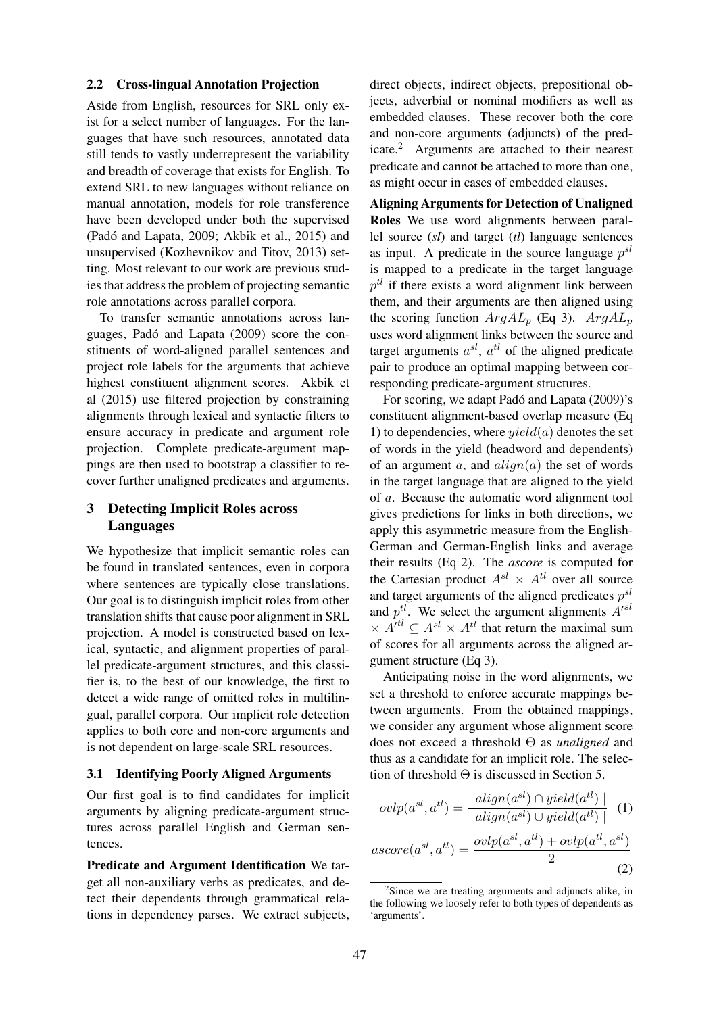#### 2.2 Cross-lingual Annotation Projection

Aside from English, resources for SRL only exist for a select number of languages. For the languages that have such resources, annotated data still tends to vastly underrepresent the variability and breadth of coverage that exists for English. To extend SRL to new languages without reliance on manual annotation, models for role transference have been developed under both the supervised (Padó and Lapata, 2009; Akbik et al., 2015) and unsupervised (Kozhevnikov and Titov, 2013) setting. Most relevant to our work are previous studies that address the problem of projecting semantic role annotations across parallel corpora.

To transfer semantic annotations across languages, Padó and Lapata (2009) score the constituents of word-aligned parallel sentences and project role labels for the arguments that achieve highest constituent alignment scores. Akbik et al (2015) use filtered projection by constraining alignments through lexical and syntactic filters to ensure accuracy in predicate and argument role projection. Complete predicate-argument mappings are then used to bootstrap a classifier to recover further unaligned predicates and arguments.

## 3 Detecting Implicit Roles across Languages

We hypothesize that implicit semantic roles can be found in translated sentences, even in corpora where sentences are typically close translations. Our goal is to distinguish implicit roles from other translation shifts that cause poor alignment in SRL projection. A model is constructed based on lexical, syntactic, and alignment properties of parallel predicate-argument structures, and this classifier is, to the best of our knowledge, the first to detect a wide range of omitted roles in multilingual, parallel corpora. Our implicit role detection applies to both core and non-core arguments and is not dependent on large-scale SRL resources.

#### 3.1 Identifying Poorly Aligned Arguments

Our first goal is to find candidates for implicit arguments by aligning predicate-argument structures across parallel English and German sentences.

Predicate and Argument Identification We target all non-auxiliary verbs as predicates, and detect their dependents through grammatical relations in dependency parses. We extract subjects,

direct objects, indirect objects, prepositional objects, adverbial or nominal modifiers as well as embedded clauses. These recover both the core and non-core arguments (adjuncts) of the predicate.<sup>2</sup> Arguments are attached to their nearest predicate and cannot be attached to more than one, as might occur in cases of embedded clauses.

Aligning Arguments for Detection of Unaligned Roles We use word alignments between parallel source (*sl*) and target (*tl*) language sentences as input. A predicate in the source language  $p^{sl}$ is mapped to a predicate in the target language  $p^{tl}$  if there exists a word alignment link between them, and their arguments are then aligned using the scoring function  $ArgAL_p$  (Eq 3).  $ArgAL_p$ uses word alignment links between the source and target arguments  $a^{sl}$ ,  $a^{tl}$  of the aligned predicate pair to produce an optimal mapping between corresponding predicate-argument structures.

For scoring, we adapt Padó and Lapata (2009)'s constituent alignment-based overlap measure (Eq 1) to dependencies, where  $yield(a)$  denotes the set of words in the yield (headword and dependents) of an argument a, and  $align(a)$  the set of words in the target language that are aligned to the yield of a. Because the automatic word alignment tool gives predictions for links in both directions, we apply this asymmetric measure from the English-German and German-English links and average their results (Eq 2). The *ascore* is computed for the Cartesian product  $A^{sl} \times A^{tl}$  over all source and target arguments of the aligned predicates  $p^{sl}$ and  $p^{tl}$ . We select the argument alignments  $A<sup>sd</sup>$  $\times$   $A^{itl}$   $\subset$   $A^{sl}$   $\times$   $A^{tl}$  that return the maximal sum of scores for all arguments across the aligned argument structure (Eq 3).

Anticipating noise in the word alignments, we set a threshold to enforce accurate mappings between arguments. From the obtained mappings, we consider any argument whose alignment score does not exceed a threshold Θ as *unaligned* and thus as a candidate for an implicit role. The selection of threshold  $\Theta$  is discussed in Section 5.

$$
ovlp(a^{sl}, a^{tl}) = \frac{|\ align(a^{sl}) \cap yield(a^{tl})|}{|\ align(a^{sl}) \cup yield(a^{tl})|} \quad (1)
$$

$$
ascore(a^{sl}, a^{tl}) = \frac{\operatorname{ovlp}(a^{sl}, a^{tl}) + \operatorname{ovlp}(a^{tl}, a^{sl})}{2}
$$
\n(2)

<sup>&</sup>lt;sup>2</sup>Since we are treating arguments and adjuncts alike, in the following we loosely refer to both types of dependents as 'arguments'.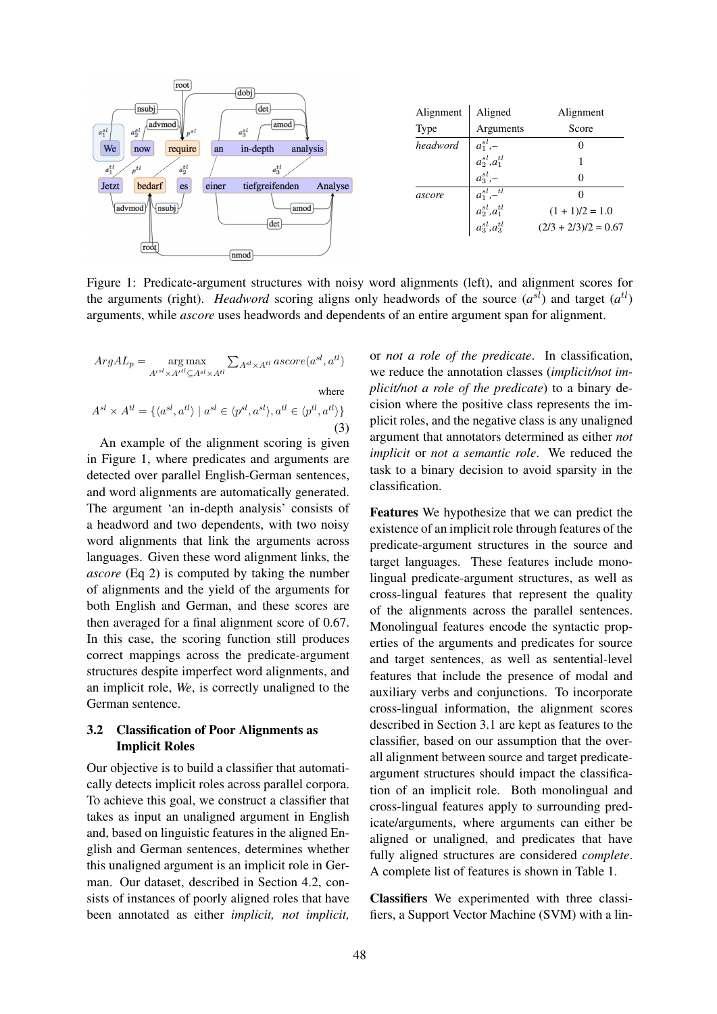

Figure 1: Predicate-argument structures with noisy word alignments (left), and alignment scores for the arguments (right). *Headword* scoring aligns only headwords of the source  $(a^{sl})$  and target  $(a^{tl})$ arguments, while *ascore* uses headwords and dependents of an entire argument span for alignment.

$$
ArgAL_p = \mathop{\arg\max}_{A'^{sl} \times A'^{tl} \subseteq A^{sl} \times A^{tl}} \sum_{A^{sl} \times A^{tl}} ascore(a^{sl}, a^{tl})
$$
  
where  

$$
A^{sl} \times A^{tl} = \{ \langle a^{sl}, a^{tl} \rangle \mid a^{sl} \in \langle p^{sl}, a^{sl} \rangle, a^{tl} \in \langle p^{tl}, a^{tl} \rangle \}
$$
(3)

An example of the alignment scoring is given in Figure 1, where predicates and arguments are detected over parallel English-German sentences, and word alignments are automatically generated. The argument 'an in-depth analysis' consists of a headword and two dependents, with two noisy word alignments that link the arguments across languages. Given these word alignment links, the *ascore* (Eq 2) is computed by taking the number of alignments and the yield of the arguments for both English and German, and these scores are then averaged for a final alignment score of 0.67. In this case, the scoring function still produces correct mappings across the predicate-argument structures despite imperfect word alignments, and an implicit role, *We*, is correctly unaligned to the German sentence.

## 3.2 Classification of Poor Alignments as Implicit Roles

Our objective is to build a classifier that automatically detects implicit roles across parallel corpora. To achieve this goal, we construct a classifier that takes as input an unaligned argument in English and, based on linguistic features in the aligned English and German sentences, determines whether this unaligned argument is an implicit role in German. Our dataset, described in Section 4.2, consists of instances of poorly aligned roles that have been annotated as either *implicit, not implicit,*

or *not a role of the predicate*. In classification, we reduce the annotation classes (*implicit/not implicit/not a role of the predicate*) to a binary decision where the positive class represents the implicit roles, and the negative class is any unaligned argument that annotators determined as either *not implicit* or *not a semantic role*. We reduced the task to a binary decision to avoid sparsity in the classification.

Features We hypothesize that we can predict the existence of an implicit role through features of the predicate-argument structures in the source and target languages. These features include monolingual predicate-argument structures, as well as cross-lingual features that represent the quality of the alignments across the parallel sentences. Monolingual features encode the syntactic properties of the arguments and predicates for source and target sentences, as well as sentential-level features that include the presence of modal and auxiliary verbs and conjunctions. To incorporate cross-lingual information, the alignment scores described in Section 3.1 are kept as features to the classifier, based on our assumption that the overall alignment between source and target predicateargument structures should impact the classification of an implicit role. Both monolingual and cross-lingual features apply to surrounding predicate/arguments, where arguments can either be aligned or unaligned, and predicates that have fully aligned structures are considered *complete*. A complete list of features is shown in Table 1.

Classifiers We experimented with three classifiers, a Support Vector Machine (SVM) with a lin-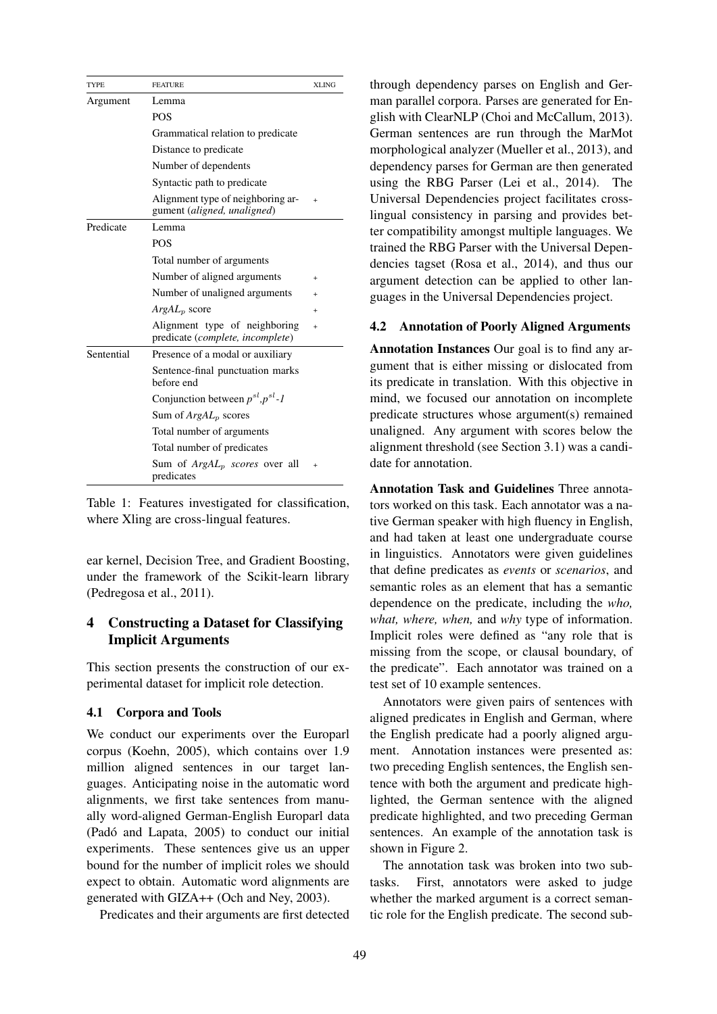| <b>TYPE</b> | <b>FEATURE</b>                                                    | <b>XLING</b> |  |
|-------------|-------------------------------------------------------------------|--------------|--|
| Argument    | Lemma                                                             |              |  |
|             | <b>POS</b>                                                        |              |  |
|             | Grammatical relation to predicate                                 |              |  |
|             | Distance to predicate                                             |              |  |
|             | Number of dependents                                              |              |  |
|             | Syntactic path to predicate                                       |              |  |
|             | Alignment type of neighboring ar-<br>gument (aligned, unaligned)  | $\ddot{}$    |  |
| Predicate   | Lemma                                                             |              |  |
|             | <b>POS</b>                                                        |              |  |
|             | Total number of arguments                                         |              |  |
|             | Number of aligned arguments                                       | $\ddot{}$    |  |
|             | Number of unaligned arguments                                     | $\ddot{}$    |  |
|             | $ArgAL_p$ score                                                   | $\ddot{}$    |  |
|             | Alignment type of neighboring<br>predicate (complete, incomplete) | $\ddot{}$    |  |
| Sentential  | Presence of a modal or auxiliary                                  |              |  |
|             | Sentence-final punctuation marks<br>before end                    |              |  |
|             | Conjunction between $p^{sl}, p^{sl}$ -1                           |              |  |
|             | Sum of $ArgAL_p$ scores                                           |              |  |
|             | Total number of arguments                                         |              |  |
|             | Total number of predicates                                        |              |  |
|             | Sum of ArgAL <sub>p</sub> scores over all<br>predicates           | $\ddot{}$    |  |



ear kernel, Decision Tree, and Gradient Boosting, under the framework of the Scikit-learn library (Pedregosa et al., 2011).

## 4 Constructing a Dataset for Classifying Implicit Arguments

This section presents the construction of our experimental dataset for implicit role detection.

#### 4.1 Corpora and Tools

We conduct our experiments over the Europarl corpus (Koehn, 2005), which contains over 1.9 million aligned sentences in our target languages. Anticipating noise in the automatic word alignments, we first take sentences from manually word-aligned German-English Europarl data (Padó and Lapata, 2005) to conduct our initial experiments. These sentences give us an upper bound for the number of implicit roles we should expect to obtain. Automatic word alignments are generated with GIZA++ (Och and Ney, 2003).

Predicates and their arguments are first detected

through dependency parses on English and German parallel corpora. Parses are generated for English with ClearNLP (Choi and McCallum, 2013). German sentences are run through the MarMot morphological analyzer (Mueller et al., 2013), and dependency parses for German are then generated using the RBG Parser (Lei et al., 2014). The Universal Dependencies project facilitates crosslingual consistency in parsing and provides better compatibility amongst multiple languages. We trained the RBG Parser with the Universal Dependencies tagset (Rosa et al., 2014), and thus our argument detection can be applied to other languages in the Universal Dependencies project.

#### 4.2 Annotation of Poorly Aligned Arguments

Annotation Instances Our goal is to find any argument that is either missing or dislocated from its predicate in translation. With this objective in mind, we focused our annotation on incomplete predicate structures whose argument(s) remained unaligned. Any argument with scores below the alignment threshold (see Section 3.1) was a candidate for annotation.

Annotation Task and Guidelines Three annotators worked on this task. Each annotator was a native German speaker with high fluency in English, and had taken at least one undergraduate course in linguistics. Annotators were given guidelines that define predicates as *events* or *scenarios*, and semantic roles as an element that has a semantic dependence on the predicate, including the *who, what, where, when,* and *why* type of information. Implicit roles were defined as "any role that is missing from the scope, or clausal boundary, of the predicate". Each annotator was trained on a test set of 10 example sentences.

Annotators were given pairs of sentences with aligned predicates in English and German, where the English predicate had a poorly aligned argument. Annotation instances were presented as: two preceding English sentences, the English sentence with both the argument and predicate highlighted, the German sentence with the aligned predicate highlighted, and two preceding German sentences. An example of the annotation task is shown in Figure 2.

The annotation task was broken into two subtasks. First, annotators were asked to judge whether the marked argument is a correct semantic role for the English predicate. The second sub-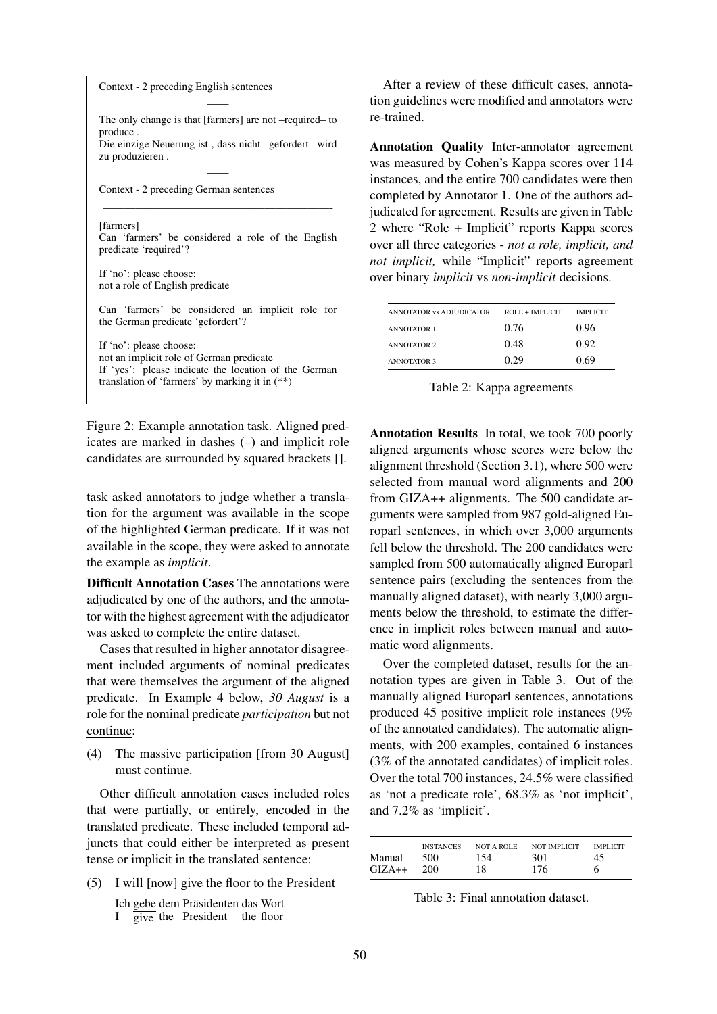| Context - 2 preceding English sentences                                                                  |               |
|----------------------------------------------------------------------------------------------------------|---------------|
|                                                                                                          | tion g        |
| The only change is that [farmers] are not -required- to<br>produce.                                      | re-tra        |
| Die einzige Neuerung ist, dass nicht -gefordert- wird<br>zu produzieren.                                 | Ann           |
|                                                                                                          | was i         |
| Context - 2 preceding German sentences                                                                   | insta<br>comp |
|                                                                                                          | judic         |
| [farmers]                                                                                                | 2 wh          |
| Can 'farmers' be considered a role of the English<br>predicate 'required'?                               | over          |
|                                                                                                          | not i         |
| If 'no': please choose:<br>not a role of English predicate                                               | over          |
| Can 'farmers' be considered an implicit role for                                                         |               |
| the German predicate 'gefordert'?                                                                        |               |
| If 'no': please choose:                                                                                  |               |
| not an implicit role of German predicate                                                                 |               |
| If 'yes': please indicate the location of the German<br>translation of 'farmers' by marking it in $(**)$ |               |

Figure 2: Example annotation task. Aligned predicates are marked in dashes (–) and implicit role candidates are surrounded by squared brackets [].

task asked annotators to judge whether a translation for the argument was available in the scope of the highlighted German predicate. If it was not available in the scope, they were asked to annotate the example as *implicit*.

Difficult Annotation Cases The annotations were adjudicated by one of the authors, and the annotator with the highest agreement with the adjudicator was asked to complete the entire dataset.

Cases that resulted in higher annotator disagreement included arguments of nominal predicates that were themselves the argument of the aligned predicate. In Example 4 below, *30 August* is a role for the nominal predicate *participation* but not continue:

(4) The massive participation [from 30 August] must continue.

Other difficult annotation cases included roles that were partially, or entirely, encoded in the translated predicate. These included temporal adjuncts that could either be interpreted as present tense or implicit in the translated sentence:

(5) I will [now] give the floor to the President

Ich gebe dem Präsidenten das Wort I  $\overline{give}$  the President the floor

fter a review of these difficult cases, annotation guidelines were modified and annotators were ained.

otation Quality Inter-annotator agreement measured by Cohen's Kappa scores over 114 nces, and the entire 700 candidates were then pleted by Annotator 1. One of the authors adrated for agreement. Results are given in Table 2 where "Role + Implicit" reports Kappa scores all three categories - *not a role, implicit, and implicit*, while "Implicit" reports agreement binary *implicit* vs *non-implicit* decisions.

| <b>ANNOTATOR vs ADJUDICATOR</b> | $ROLE + IMPI~ICIT$ | <b>IMPLICIT</b> |
|---------------------------------|--------------------|-----------------|
| <b>ANNOTATOR 1</b>              | 0.76               | 0.96            |
| <b>ANNOTATOR 2</b>              | 0.48               | 0.92            |
| <b>ANNOTATOR 3</b>              | 0.29               | 0.69            |

Table 2: Kappa agreements

Annotation Results In total, we took 700 poorly aligned arguments whose scores were below the alignment threshold (Section 3.1), where 500 were selected from manual word alignments and 200 from GIZA++ alignments. The 500 candidate arguments were sampled from 987 gold-aligned Europarl sentences, in which over 3,000 arguments fell below the threshold. The 200 candidates were sampled from 500 automatically aligned Europarl sentence pairs (excluding the sentences from the manually aligned dataset), with nearly 3,000 arguments below the threshold, to estimate the difference in implicit roles between manual and automatic word alignments.

Over the completed dataset, results for the annotation types are given in Table 3. Out of the manually aligned Europarl sentences, annotations produced 45 positive implicit role instances (9% of the annotated candidates). The automatic alignments, with 200 examples, contained 6 instances (3% of the annotated candidates) of implicit roles. Over the total 700 instances, 24.5% were classified as 'not a predicate role', 68.3% as 'not implicit', and 7.2% as 'implicit'.

|          | <b>INSTANCES</b> | <b>NOT A ROLE</b> | NOT IMPLICIT | <b>IMPLICIT</b> |
|----------|------------------|-------------------|--------------|-----------------|
| Manual   | 500              | 154               | 301          | 45              |
| $GIZA++$ | 200              | 18                | 176          |                 |

Table 3: Final annotation dataset.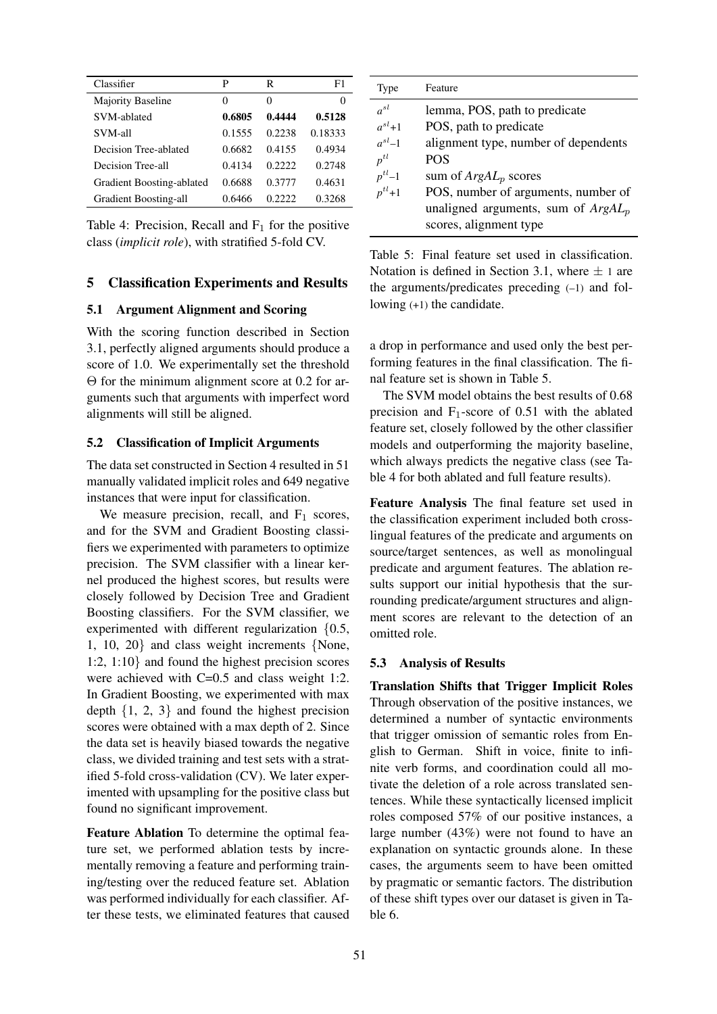| Classifier                | P        | R        | F1      |
|---------------------------|----------|----------|---------|
| <b>Majority Baseline</b>  | $\theta$ | $\theta$ | 0       |
| SVM-ablated               | 0.6805   | 0.4444   | 0.5128  |
| SVM-all                   | 0.1555   | 0.2238   | 0.18333 |
| Decision Tree-ablated     | 0.6682   | 0.4155   | 0.4934  |
| Decision Tree-all         | 0.4134   | 0.2222   | 0.2748  |
| Gradient Boosting-ablated | 0.6688   | 0.3777   | 0.4631  |
| Gradient Boosting-all     | 0.6466   | 0.2222   | 0.3268  |

Table 4: Precision, Recall and  $F_1$  for the positive class (*implicit role*), with stratified 5-fold CV.

#### 5 Classification Experiments and Results

#### 5.1 Argument Alignment and Scoring

With the scoring function described in Section 3.1, perfectly aligned arguments should produce a score of 1.0. We experimentally set the threshold Θ for the minimum alignment score at 0.2 for arguments such that arguments with imperfect word alignments will still be aligned.

#### 5.2 Classification of Implicit Arguments

The data set constructed in Section 4 resulted in 51 manually validated implicit roles and 649 negative instances that were input for classification.

We measure precision, recall, and  $F_1$  scores, and for the SVM and Gradient Boosting classifiers we experimented with parameters to optimize precision. The SVM classifier with a linear kernel produced the highest scores, but results were closely followed by Decision Tree and Gradient Boosting classifiers. For the SVM classifier, we experimented with different regularization {0.5, 1, 10, 20} and class weight increments {None, 1:2, 1:10} and found the highest precision scores were achieved with C=0.5 and class weight 1:2. In Gradient Boosting, we experimented with max depth  $\{1, 2, 3\}$  and found the highest precision scores were obtained with a max depth of 2. Since the data set is heavily biased towards the negative class, we divided training and test sets with a stratified 5-fold cross-validation (CV). We later experimented with upsampling for the positive class but found no significant improvement.

Feature Ablation To determine the optimal feature set, we performed ablation tests by incrementally removing a feature and performing training/testing over the reduced feature set. Ablation was performed individually for each classifier. After these tests, we eliminated features that caused

| Type        | Feature                               |
|-------------|---------------------------------------|
| $a^{sl}$    | lemma, POS, path to predicate         |
| $a^{sl}+1$  | POS, path to predicate                |
| $a^{sl}$ –1 | alignment type, number of dependents  |
| $p^{tl}$    | <b>POS</b>                            |
| $p^{tl}-1$  | sum of $ArgAL_p$ scores               |
| $p^{tl}+1$  | POS, number of arguments, number of   |
|             | unaligned arguments, sum of $ArgAL_p$ |
|             | scores, alignment type                |

Table 5: Final feature set used in classification. Notation is defined in Section 3.1, where  $\pm$  1 are the arguments/predicates preceding (–1) and following (+1) the candidate.

a drop in performance and used only the best performing features in the final classification. The final feature set is shown in Table 5.

The SVM model obtains the best results of 0.68 precision and  $F_1$ -score of 0.51 with the ablated feature set, closely followed by the other classifier models and outperforming the majority baseline, which always predicts the negative class (see Table 4 for both ablated and full feature results).

Feature Analysis The final feature set used in the classification experiment included both crosslingual features of the predicate and arguments on source/target sentences, as well as monolingual predicate and argument features. The ablation results support our initial hypothesis that the surrounding predicate/argument structures and alignment scores are relevant to the detection of an omitted role.

#### 5.3 Analysis of Results

Translation Shifts that Trigger Implicit Roles Through observation of the positive instances, we determined a number of syntactic environments that trigger omission of semantic roles from English to German. Shift in voice, finite to infinite verb forms, and coordination could all motivate the deletion of a role across translated sentences. While these syntactically licensed implicit roles composed 57% of our positive instances, a large number (43%) were not found to have an explanation on syntactic grounds alone. In these cases, the arguments seem to have been omitted by pragmatic or semantic factors. The distribution of these shift types over our dataset is given in Table 6.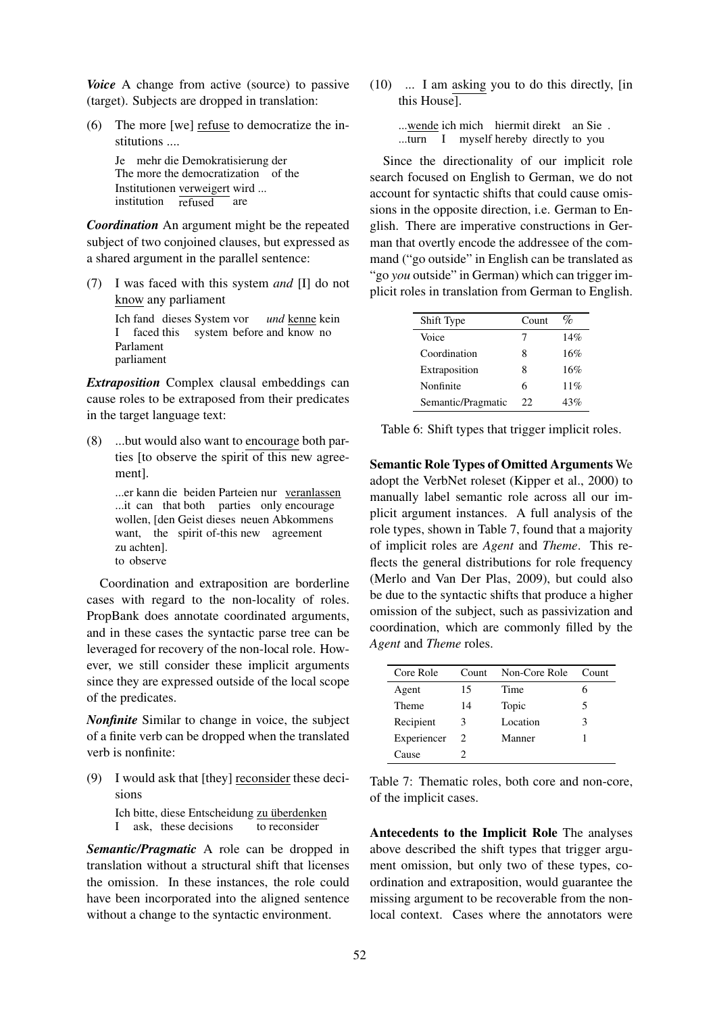*Voice* A change from active (source) to passive (target). Subjects are dropped in translation:

(6) The more [we] refuse to democratize the institutions ....

> Je mehr die Demokratisierung der The more the democratization of the Institutionen verweigert wird ... institution refused are

*Coordination* An argument might be the repeated subject of two conjoined clauses, but expressed as a shared argument in the parallel sentence:

(7) I was faced with this system *and* [I] do not know any parliament

> Ich fand dieses System vor I faced this system before and know no *und* kenne kein Parlament parliament

*Extraposition* Complex clausal embeddings can cause roles to be extraposed from their predicates in the target language text:

(8) ...but would also want to encourage both parties [to observe the spirit of this new agreement].

> ...er kann die beiden Parteien nur veranlassen ...it can that both parties only encourage wollen, [den Geist dieses neuen Abkommens want, the spirit of-this new agreement zu achten]. to observe

Coordination and extraposition are borderline cases with regard to the non-locality of roles. PropBank does annotate coordinated arguments, and in these cases the syntactic parse tree can be leveraged for recovery of the non-local role. However, we still consider these implicit arguments since they are expressed outside of the local scope of the predicates.

*Nonfinite* Similar to change in voice, the subject of a finite verb can be dropped when the translated verb is nonfinite:

(9) I would ask that [they] reconsider these decisions

> Ich bitte, diese Entscheidung zu überdenken I ask, these decisions to reconsider

*Semantic/Pragmatic* A role can be dropped in translation without a structural shift that licenses the omission. In these instances, the role could have been incorporated into the aligned sentence without a change to the syntactic environment.

(10) ... I am asking you to do this directly, [in this House].

> ...wende ich mich hiermit direkt an Sie. ...turn I myself hereby directly to you

Since the directionality of our implicit role search focused on English to German, we do not account for syntactic shifts that could cause omissions in the opposite direction, i.e. German to English. There are imperative constructions in German that overtly encode the addressee of the command ("go outside" in English can be translated as "go *you* outside" in German) which can trigger implicit roles in translation from German to English.

| Shift Type         | Count | $\%$ |
|--------------------|-------|------|
| Voice              | 7     | 14%  |
| Coordination       | 8     | 16%  |
| Extraposition      | 8     | 16%  |
| Nonfinite          | 6     | 11%  |
| Semantic/Pragmatic | 22.   | 43%  |

Table 6: Shift types that trigger implicit roles.

Semantic Role Types of Omitted Arguments We adopt the VerbNet roleset (Kipper et al., 2000) to manually label semantic role across all our implicit argument instances. A full analysis of the role types, shown in Table 7, found that a majority of implicit roles are *Agent* and *Theme*. This reflects the general distributions for role frequency (Merlo and Van Der Plas, 2009), but could also be due to the syntactic shifts that produce a higher omission of the subject, such as passivization and coordination, which are commonly filled by the *Agent* and *Theme* roles.

| Core Role   | Count | Non-Core Role | Count |
|-------------|-------|---------------|-------|
| Agent       | 15    | Time          | h     |
| Theme       | 14    | Topic         | 5     |
| Recipient   | 3     | Location      | 3     |
| Experiencer | 2     | Manner        |       |
| Cause       |       |               |       |

Table 7: Thematic roles, both core and non-core, of the implicit cases.

Antecedents to the Implicit Role The analyses above described the shift types that trigger argument omission, but only two of these types, coordination and extraposition, would guarantee the missing argument to be recoverable from the nonlocal context. Cases where the annotators were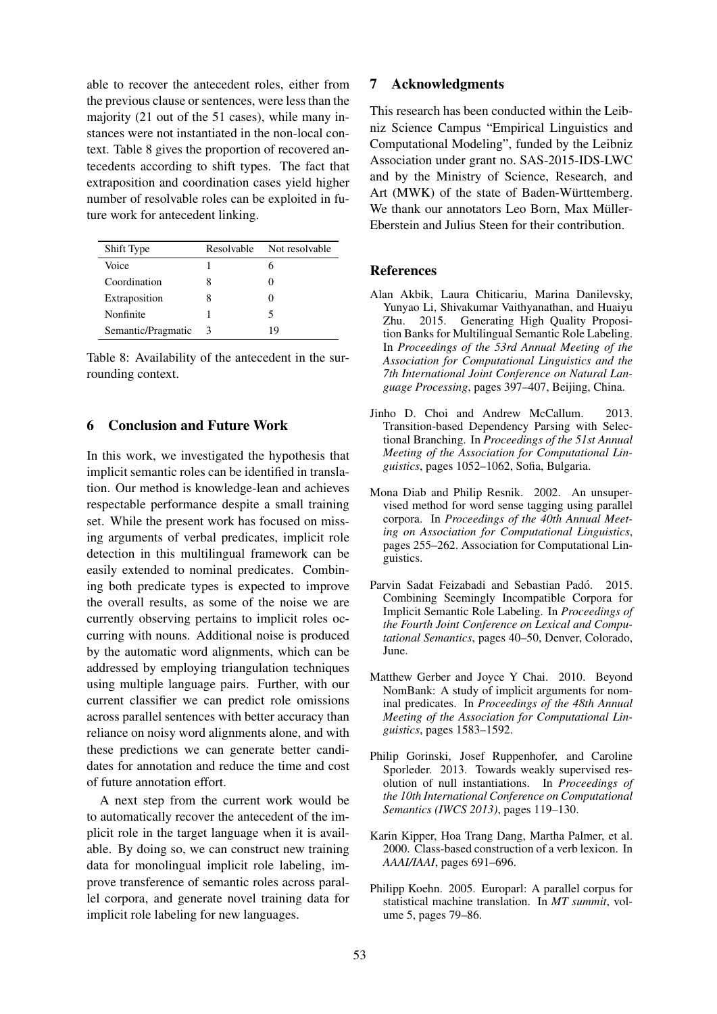able to recover the antecedent roles, either from the previous clause or sentences, were less than the majority (21 out of the 51 cases), while many instances were not instantiated in the non-local context. Table 8 gives the proportion of recovered antecedents according to shift types. The fact that extraposition and coordination cases yield higher number of resolvable roles can be exploited in future work for antecedent linking.

| Shift Type         | Resolvable | Not resolvable |
|--------------------|------------|----------------|
| Voice              |            | 6              |
| Coordination       | x          |                |
| Extraposition      | 8          |                |
| Nonfinite          |            | 5              |
| Semantic/Pragmatic | 3          | 19             |

Table 8: Availability of the antecedent in the surrounding context.

### 6 Conclusion and Future Work

In this work, we investigated the hypothesis that implicit semantic roles can be identified in translation. Our method is knowledge-lean and achieves respectable performance despite a small training set. While the present work has focused on missing arguments of verbal predicates, implicit role detection in this multilingual framework can be easily extended to nominal predicates. Combining both predicate types is expected to improve the overall results, as some of the noise we are currently observing pertains to implicit roles occurring with nouns. Additional noise is produced by the automatic word alignments, which can be addressed by employing triangulation techniques using multiple language pairs. Further, with our current classifier we can predict role omissions across parallel sentences with better accuracy than reliance on noisy word alignments alone, and with these predictions we can generate better candidates for annotation and reduce the time and cost of future annotation effort.

A next step from the current work would be to automatically recover the antecedent of the implicit role in the target language when it is available. By doing so, we can construct new training data for monolingual implicit role labeling, improve transference of semantic roles across parallel corpora, and generate novel training data for implicit role labeling for new languages.

#### 7 Acknowledgments

This research has been conducted within the Leibniz Science Campus "Empirical Linguistics and Computational Modeling", funded by the Leibniz Association under grant no. SAS-2015-IDS-LWC and by the Ministry of Science, Research, and Art (MWK) of the state of Baden-Württemberg. We thank our annotators Leo Born, Max Müller-Eberstein and Julius Steen for their contribution.

#### References

- Alan Akbik, Laura Chiticariu, Marina Danilevsky, Yunyao Li, Shivakumar Vaithyanathan, and Huaiyu Zhu. 2015. Generating High Quality Proposition Banks for Multilingual Semantic Role Labeling. In *Proceedings of the 53rd Annual Meeting of the Association for Computational Linguistics and the 7th International Joint Conference on Natural Language Processing*, pages 397–407, Beijing, China.
- Jinho D. Choi and Andrew McCallum. 2013. Transition-based Dependency Parsing with Selectional Branching. In *Proceedings of the 51st Annual Meeting of the Association for Computational Linguistics*, pages 1052–1062, Sofia, Bulgaria.
- Mona Diab and Philip Resnik. 2002. An unsupervised method for word sense tagging using parallel corpora. In *Proceedings of the 40th Annual Meeting on Association for Computational Linguistics*, pages 255–262. Association for Computational Linguistics.
- Parvin Sadat Feizabadi and Sebastian Padó. 2015. Combining Seemingly Incompatible Corpora for Implicit Semantic Role Labeling. In *Proceedings of the Fourth Joint Conference on Lexical and Computational Semantics*, pages 40–50, Denver, Colorado, June.
- Matthew Gerber and Joyce Y Chai. 2010. Beyond NomBank: A study of implicit arguments for nominal predicates. In *Proceedings of the 48th Annual Meeting of the Association for Computational Linguistics*, pages 1583–1592.
- Philip Gorinski, Josef Ruppenhofer, and Caroline Sporleder. 2013. Towards weakly supervised resolution of null instantiations. In *Proceedings of the 10th International Conference on Computational Semantics (IWCS 2013)*, pages 119–130.
- Karin Kipper, Hoa Trang Dang, Martha Palmer, et al. 2000. Class-based construction of a verb lexicon. In *AAAI/IAAI*, pages 691–696.
- Philipp Koehn. 2005. Europarl: A parallel corpus for statistical machine translation. In *MT summit*, volume 5, pages 79–86.